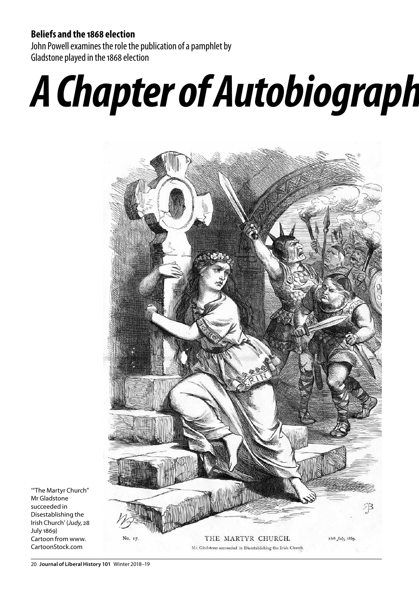### **Beliefs and the 1868 election**

John Powell examines the role the publication of a pamphlet by Gladstone played in the 1868 election

## *A Chapter of Autobiography* **as Campaign Document**



'"The Martyr Church" Mr Gladstone succeeded in Disestablishing the Irish Church' (*Judy*, 28 July 1869) Cartoon from www. CartoonStock.com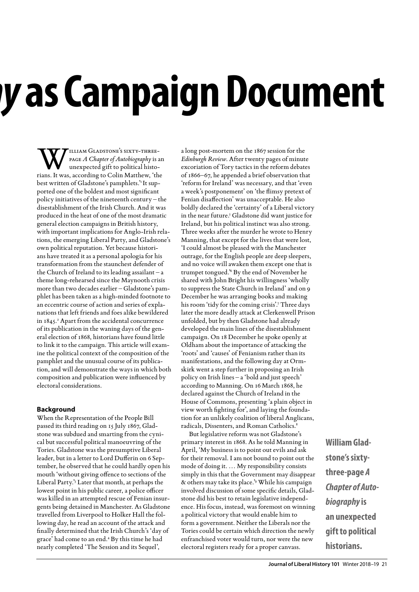W TILLIAM GLADSTONE'S SIXTY-THREE-<br>
PAGE A Chapter of Autobiography is a<br>
unexpected gift to political histo-<br>
rians It was according to Colin Matthew 'the page *A Chapter of Autobiography* is an unexpected gift to political historians. It was, according to Colin Matthew, 'the best written of Gladstone's pamphlets.<sup>'1</sup> It supported one of the boldest and most significant policy initiatives of the nineteenth century – the disestablishment of the Irish Church. And it was produced in the heat of one of the most dramatic general election campaigns in British history, with important implications for Anglo-Irish relations, the emerging Liberal Party, and Gladstone's own political reputation. Yet because historians have treated it as a personal apologia for his transformation from the staunchest defender of the Church of Ireland to its leading assailant – a theme long-rehearsed since the Maynooth crisis more than two decades earlier – Gladstone's pamphlet has been taken as a high-minded footnote to an eccentric course of action and series of explanations that left friends and foes alike bewildered in 1845.<sup>2</sup> Apart from the accidental concurrence of its publication in the waning days of the general election of 1868, historians have found little to link it to the campaign. This article will examine the political context of the composition of the pamphlet and the unusual course of its publication, and will demonstrate the ways in which both composition and publication were influenced by electoral considerations.

#### **Background**

When the Representation of the People Bill passed its third reading on 15 July 1867, Gladstone was subdued and smarting from the cynical but successful political manoeuvring of the Tories. Gladstone was the presumptive Liberal leader, but in a letter to Lord Dufferin on 6 September, he observed that he could hardly open his mouth 'without giving offence to sections of the Liberal Party.'3 Later that month, at perhaps the lowest point in his public career, a police officer was killed in an attempted rescue of Fenian insurgents being detained in Manchester. As Gladstone travelled from Liverpool to Holker Hall the following day, he read an account of the attack and finally determined that the Irish Church's 'day of grace' had come to an end.4 By this time he had nearly completed 'The Session and its Sequel',

a long post-mortem on the 1867 session for the *Edinburgh Review*. After twenty pages of minute excoriation of Tory tactics in the reform debates of 1866–67, he appended a brief observation that 'reform for Ireland' was necessary, and that 'even a week's postponement' on 'the flimsy pretext of Fenian disaffection' was unacceptable. He also boldly declared the 'certainty' of a Liberal victory in the near future.<sup>5</sup> Gladstone did want justice for Ireland, but his political instinct was also strong. Three weeks after the murder he wrote to Henry Manning, that except for the lives that were lost, 'I could almost be pleased with the Manchester outrage, for the English people are deep sleepers, and no voice will awaken them except one that is trumpet tongued.'6 By the end of November he shared with John Bright his willingness 'wholly to suppress the State Church in Ireland' and on 9 December he was arranging books and making his room 'tidy for the coming crisis'.7 Three days later the more deadly attack at Clerkenwell Prison unfolded, but by then Gladstone had already developed the main lines of the disestablishment campaign. On 18 December he spoke openly at Oldham about the importance of attacking the 'roots' and 'causes' of Fenianism rather than its manifestations, and the following day at Ormskirk went a step further in proposing an Irish policy on Irish lines – a 'bold and just speech' according to Manning. On 16 March 1868, he declared against the Church of Ireland in the House of Commons, presenting 'a plain object in view worth fighting for', and laying the foundation for an unlikely coalition of liberal Anglicans, radicals, Dissenters, and Roman Catholics.<sup>8</sup>

But legislative reform was not Gladstone's primary interest in 1868. As he told Manning in April, 'My business is to point out evils and ask for their removal. I am not bound to point out the mode of doing it. … My responsibility consists simply in this that the Government may disappear & others may take its place.'9 While his campaign involved discussion of some specific details, Gladstone did his best to retain legislative independence. His focus, instead, was foremost on winning a political victory that would enable him to form a government. Neither the Liberals nor the Tories could be certain which direction the newly enfranchised voter would turn, nor were the new electoral registers ready for a proper canvass.

**William Gladstone's sixtythree-page** *A Chapter of Autobiography* **is an unexpected gift to political historians.**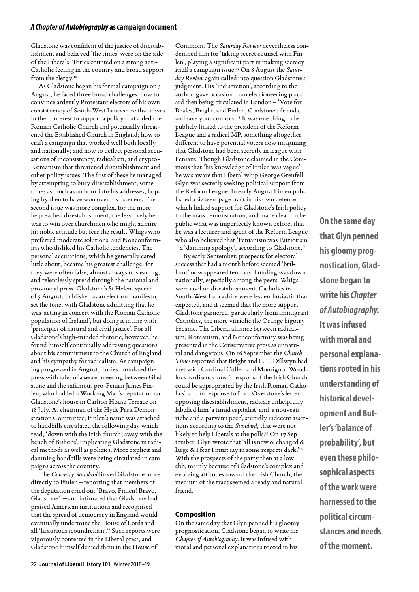Gladstone was confident of the justice of disestablishment and believed 'the times' were on the side of the Liberals. Tories counted on a strong anti-Catholic feeling in the country and broad support from the clergy.10

As Gladstone began his formal campaign on 3 August, he faced three broad challenges: how to convince ardently Protestant electors of his own constituency of South-West Lancashire that it was in their interest to support a policy that aided the Roman Catholic Church and potentially threatened the Established Church in England; how to craft a campaign that worked well both locally and nationally; and how to deflect personal accusations of inconsistency, radicalism, and crypto-Romanism that threatened disestablishment and other policy issues. The first of these he managed by attempting to bury disestablishment, sometimes as much as an hour into his addresses, hoping by then to have won over his listeners. The second issue was more complex, for the more he preached disestablishment, the less likely he was to win over churchmen who might admire his noble attitude but fear the result, Whigs who preferred moderate solutions, and Nonconformists who disliked his Catholic tendencies. The personal accusations, which he generally cared little about, became his greatest challenge, for they were often false, almost always misleading, and relentlessly spread through the national and provincial press. Gladstone's St Helens speech of 5 August, published as an election manifesto, set the tone, with Gladstone admitting that he was 'acting in concert with the Roman Catholic population of Ireland', but doing it in line with 'principles of natural and civil justice'. For all Gladstone's high-minded rhetoric, however, he found himself continually addressing questions about his commitment to the Church of England and his sympathy for radicalism. As campaigning progressed in August, Tories inundated the press with tales of a secret meeting between Gladstone and the infamous pro-Fenian James Finlen, who had led a Working Man's deputation to Gladstone's house in Carlton House Terrace on 18 July. As chairman of the Hyde Park Demonstration Committee, Finlen's name was attached to handbills circulated the following day which read, 'down with the Irish church; away with the bench of Bishops', implicating Gladstone in radical methods as well as policies. More explicit and damning handbills were being circulated in campaigns across the country.

The *Coventry Standard* linked Gladstone more directly to Finlen – reporting that members of the deputation cried out 'Bravo, Finlen! Bravo, Gladstone!' – and intimated that Gladstone had praised American institutions and recognised that the spread of democracy in England would eventually undermine the House of Lords and all 'luxurious scoundrelism'.<sup>11</sup> Such reports were vigorously contested in the Liberal press, and Gladstone himself denied them in the House of

Commons. The *Saturday Review* nevertheless condemned him for 'taking secret counsel with Finlen', playing a significant part in making secrecy itself a campaign issue.12 On 8 August the *Saturday Review* again called into question Gladstone's judgment. His 'indiscretion', according to the author, gave occasion to an electioneering placard then being circulated in London – 'Vote for Beales, Bright, and Finlen, Gladstone's friends, and save your country."<sup>3</sup> It was one thing to be publicly linked to the president of the Reform League and a radical MP, something altogether different to have potential voters now imagining that Gladstone had been secretly in league with Fenians. Though Gladstone claimed in the Commons that 'his knowledge of Finlen was vague', he was aware that Liberal whip George Grenfell Glyn was secretly seeking political support from the Reform League. In early August Finlen published a sixteen-page tract in his own defence, which linked support for Gladstone's Irish policy to the mass demonstration, and made clear to the public what was imperfectly known before, that he was a lecturer and agent of the Reform League who also believed that 'Fenianism was Patriotism' – a 'damning apology', according to Gladstone.14

By early September, prospects for electoral success that had a month before seemed 'brilliant' now appeared tenuous. Funding was down nationally, especially among the peers. Whigs were cool on disestablishment. Catholics in South-West Lancashire were less enthusiastic than expected, and it seemed that the more support Gladstone garnered, particularly from immigrant Catholics, the more vitriolic the Orange bigotry became. The Liberal alliance between radicalism, Romanism, and Nonconformity was being presented in the Conservative press as unnatural and dangerous. On 16 September the *Church Times* reported that Bright and L. L. Dillwyn had met with Cardinal Cullen and Monsignor Woodlock to discuss how 'the spoils of the Irish Church could be appropriated by the Irish Roman Catholics', and in response to Lord Overstone's letter opposing disestablishment, radicals unhelpfully labelled him 'a timid capitalist' and 'a nouveau riche and a parvenu peer', stupidly indecent assertions according to the *Standard,* that were not likely to help Liberals at the polls.<sup>15</sup> On 17 September, Glyn wrote that 'all is new & changed & large & I fear I must say in some respects dark."<sup>6</sup> With the prospects of the party then at a low ebb, mainly because of Gladstone's complex and evolving attitudes toward the Irish Church, the medium of the tract seemed a ready and natural friend.

#### **Composition**

On the same day that Glyn penned his gloomy prognostication, Gladstone began to write his *Chapter of Autobiography*. It was infused with moral and personal explanations rooted in his

**that Glyn penned his gloomy prognostication, Gladstone began to write his** *Chapter of Autobiography.* **It was infused with moral and personal explanations rooted in his understanding of historical development and Butler's 'balance of probability', but even these philosophical aspects of the work were harnessed to the political circumstances and needs of the moment.**

**On the same day**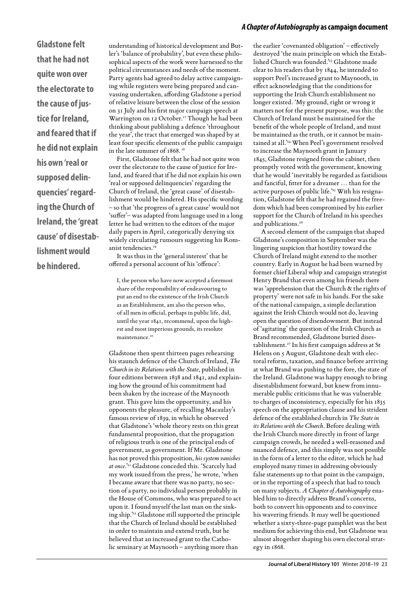**Gladstone felt that he had not quite won over the electorate to the cause of justice for Ireland, and feared that if he did not explain his own 'real or supposed delinquencies' regarding the Church of Ireland, the 'great cause' of disestablishment would be hindered.**

understanding of historical development and Butler's 'balance of probability', but even these philosophical aspects of the work were harnessed to the political circumstances and needs of the moment. Party agents had agreed to delay active campaigning while registers were being prepared and canvassing undertaken, affording Gladstone a period of relative leisure between the close of the session on 31 July and his first major campaign speech at Warrington on 12 October.<sup>17</sup> Though he had been thinking about publishing a defence 'throughout the year', the tract that emerged was shaped by at least four specific elements of the public campaign in the late summer of 1868. 18

First, Gladstone felt that he had not quite won over the electorate to the cause of justice for Ireland, and feared that if he did not explain his own 'real or supposed delinquencies' regarding the Church of Ireland, the 'great cause' of disestablishment would be hindered. His specific wording – so that 'the progress of a great cause' would not 'suffer'– was adapted from language used in a long letter he had written to the editors of the major daily papers in April, categorically denying six widely circulating rumours suggesting his Romanist tendencies.<sup>19</sup>

It was thus in the 'general interest' that he offered a personal account of his 'offence':

I, the person who have now accepted a foremost share of the responsibility of endeavouring to put an end to the existence of the Irish Church as an Establishment, am also the person who, of all men in official, perhaps in public life, did, until the year 1841, recommend, upon the highest and most imperious grounds, its resolute maintenance.<sup>20</sup>

Gladstone then spent thirteen pages rehearsing his staunch defence of the Church of Ireland, *The Church in its Relations with the State*, published in four editions between 1838 and 1841, and explaining how the ground of his commitment had been shaken by the increase of the Maynooth grant. This gave him the opportunity, and his opponents the pleasure, of recalling Macaulay's famous review of 1839, in which he observed that Gladstone's 'whole theory rests on this great fundamental proposition, that the propagation of religious truth is one of the principal ends of government, as government. If Mr. Gladstone has not proved this proposition, *his system vanishes at once*.'21 Gladstone conceded this. 'Scarcely had my work issued from the press,' he wrote, 'when I became aware that there was no party, no section of a party, no individual person probably in the House of Commons, who was prepared to act upon it. I found myself the last man on the sinking ship.'22 Gladstone still supported the principle that the Church of Ireland should be established in order to maintain and extend truth, but he believed that an increased grant to the Catholic seminary at Maynooth – anything more than

the earlier 'covenanted obligation' – effectively destroyed 'the main principle on which the Established Church was founded.'23 Gladstone made clear to his readers that by 1844, he intended to support Peel's increased grant to Maynooth, in effect acknowledging that the conditions for supporting the Irish Church establishment no longer existed. 'My ground, right or wrong it matters not for the present purpose, was this: the Church of Ireland must be maintained for the benefit of the whole people of Ireland, and must be maintained as the truth, or it cannot be maintained at all.'24 When Peel's government resolved to increase the Maynooth grant in January 1845, Gladstone resigned from the cabinet, then promptly voted with the government, knowing that he would 'inevitably be regarded as fastidious and fanciful, fitter for a dreamer … than for the active purposes of public life.'25 With his resignation, Gladstone felt that he had regained the freedom which had been compromised by his earlier support for the Church of Ireland in his speeches and publications.<sup>26</sup>

A second element of the campaign that shaped Gladstone's composition in September was the lingering suspicion that hostility toward the Church of Ireland might extend to the mother country. Early in August he had been warned by former chief Liberal whip and campaign strategist Henry Brand that even among his friends there was 'apprehension that the Church & the rights of property' were not safe in his hands. For the sake of the national campaign, a simple declaration against the Irish Church would not do, leaving open the question of disendowment. But instead of 'agitating' the question of the Irish Church as Brand recommended, Gladstone buried disestablishment.27 In his first campaign address at St Helens on 5 August, Gladstone dealt with electoral reform, taxation, and finance before arriving at what Brand was pushing to the fore, the state of the Ireland. Gladstone was happy enough to bring disestablishment forward, but knew from innumerable public criticisms that he was vulnerable to charges of inconsistency, especially for his 1835 speech on the appropriation clause and his strident defence of the established church in *The State in its Relations with the Church*. Before dealing with the Irish Church more directly in front of large campaign crowds, he needed a well-reasoned and nuanced defence, and this simply was not possible in the form of a letter to the editor, which he had employed many times in addressing obviously false statements up to that point in the campaign, or in the reporting of a speech that had to touch on many subjects. *A Chapter of Autobiography* enabled him to directly address Brand's concerns, both to convert his opponents and to convince his wavering friends. It may well be questioned whether a sixty-three-page pamphlet was the best medium for achieving this end, but Gladstone was almost altogether shaping his own electoral strategy in 1868.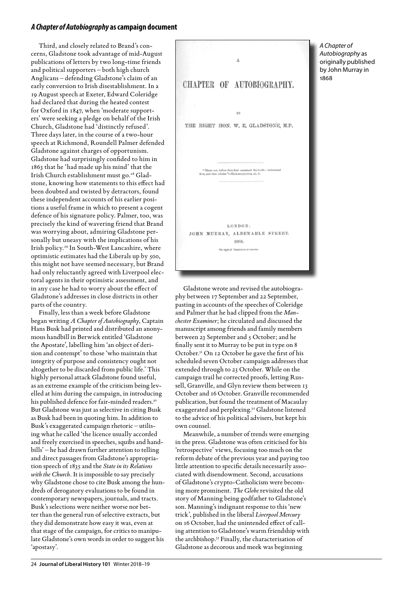Third, and closely related to Brand's concerns, Gladstone took advantage of mid-August publications of letters by two long-time friends and political supporters – both high church Anglicans – defending Gladstone's claim of an early conversion to Irish disestablishment. In a 19 August speech at Exeter, Edward Coleridge had declared that during the heated contest for Oxford in 1847, when 'moderate supporters' were seeking a pledge on behalf of the Irish Church, Gladstone had 'distinctly refused'. Three days later, in the course of a two-hour speech at Richmond, Roundell Palmer defended Gladstone against charges of opportunism. Gladstone had surprisingly confided to him in 1863 that he 'had made up his mind' that the Irish Church establishment must go.28 Gladstone, knowing how statements to this effect had been doubted and twisted by detractors, found these independent accounts of his earlier positions a useful frame in which to present a cogent defence of his signature policy. Palmer, too, was precisely the kind of wavering friend that Brand was worrying about, admiring Gladstone personally but uneasy with the implications of his Irish policy.29 In South-West Lancashire, where optimistic estimates had the Liberals up by 500, this might not have seemed necessary, but Brand had only reluctantly agreed with Liverpool electoral agents in their optimistic assessment, and in any case he had to worry about the effect of Gladstone's addresses in close districts in other parts of the country.

Finally, less than a week before Gladstone began writing *A Chapter of Autobiography*, Captain Hans Busk had printed and distributed an anonymous handbill in Berwick entitled 'Gladstone the Apostate', labelling him 'an object of derision and contempt' to those 'who maintain that integrity of purpose and consistency ought not altogether to be discarded from public life.' This highly personal attack Gladstone found useful, as an extreme example of the criticism being levelled at him during the campaign, in introducing his published defence for fair-minded readers.<sup>30</sup> But Gladstone was just as selective in citing Busk as Busk had been in quoting him. In addition to Busk's exaggerated campaign rhetoric – utilising what he called 'the licence usually accorded and freely exercised in speeches, squibs and handbills' – he had drawn further attention to telling and direct passages from Gladstone's appropriation speech of 1835 and the *State in its Relations with the Church.* It is impossible to say precisely why Gladstone chose to cite Busk among the hundreds of derogatory evaluations to be found in contemporary newspapers, journals, and tracts. Busk's selections were neither worse nor better than the general run of selective extracts, but they did demonstrate how easy it was, even at that stage of the campaign, for critics to manipulate Gladstone's own words in order to suggest his 'apostasy'.



*A Chapter of Autobiography* as originally published by John Murray in 1868

Gladstone wrote and revised the autobiography between 17 September and 22 September, pasting in accounts of the speeches of Coleridge and Palmer that he had clipped from the *Manchester Examiner*; he circulated and discussed the manuscript among friends and family members between 23 September and 5 October; and he finally sent it to Murray to be put in type on 8 October.31 On 12 October he gave the first of his scheduled seven October campaign addresses that extended through to 23 October. While on the campaign trail he corrected proofs, letting Russell, Granville, and Glyn review them between 13 October and 16 October. Granville recommended publication, but found the treatment of Macaulay exaggerated and perplexing.32 Gladstone listened to the advice of his political advisers, but kept his own counsel.

Meanwhile, a number of trends were emerging in the press. Gladstone was often criticised for his 'retrospective' views, focusing too much on the reform debate of the previous year and paying too little attention to specific details necessarily associated with disendowment. Second, accusations of Gladstone's crypto-Catholicism were becoming more prominent. *The Globe* revisited the old story of Manning being godfather to Gladstone's son. Manning's indignant response to this 'new trick', published in the liberal *Liverpool Mercury* on 16 October, had the unintended effect of calling attention to Gladstone's warm friendship with the archbishop.33 Finally, the characterisation of Gladstone as decorous and meek was beginning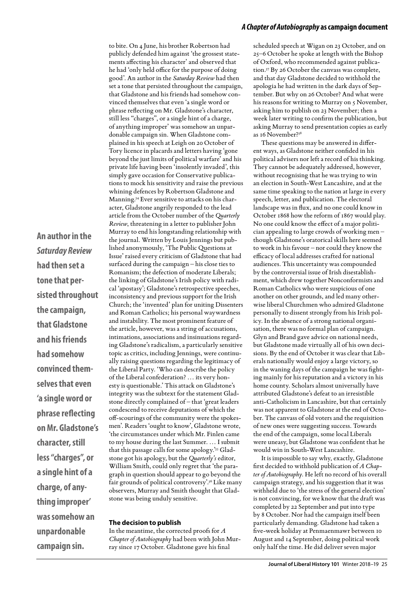**An author in the**  *Saturday Review*  **had then set a tone that persisted throughout the campaign, that Gladstone and his friends had somehow convinced themselves that even 'a single word or phrase reflecting on Mr. Gladstone's character, still less "charges", or a single hint of a charge, of anything improper' was somehow an unpardonable campaign sin.**

to bite. On 4 June, his brother Robertson had publicly defended him against 'the grossest statements affecting his character' and observed that he had 'only held office for the purpose of doing good'. An author in the *Saturday Review* had then set a tone that persisted throughout the campaign, that Gladstone and his friends had somehow convinced themselves that even 'a single word or phrase reflecting on Mr. Gladstone's character, still less "charges", or a single hint of a charge, of anything improper' was somehow an unpardonable campaign sin. When Gladstone complained in his speech at Leigh on 20 October of Tory licence in placards and letters having 'gone beyond the just limits of political warfare' and his private life having been 'insolently invaded', this simply gave occasion for Conservative publications to mock his sensitivity and raise the previous whining defences by Robertson Gladstone and Manning.34 Ever sensitive to attacks on his character, Gladstone angrily responded to the lead article from the October number of the *Quarterly Review*, threatening in a letter to publisher John Murray to end his longstanding relationship with the journal. Written by Louis Jennings but published anonymously, 'The Public Questions at Issue' raised every criticism of Gladstone that had surfaced during the campaign – his close ties to Romanism; the defection of moderate Liberals; the linking of Gladstone's Irish policy with radical 'apostasy'; Gladstone's retrospective speeches, inconsistency and previous support for the Irish Church; the 'invented' plan for uniting Dissenters and Roman Catholics; his personal waywardness and instability. The most prominent feature of the article, however, was a string of accusations, intimations, associations and insinuations regarding Gladstone's radicalism, a particularly sensitive topic as critics, including Jennings, were continually raising questions regarding the legitimacy of the Liberal Party. 'Who can describe the policy of the Liberal confederation? … its very honesty is questionable.' This attack on Gladstone's integrity was the subtext for the statement Gladstone directly complained of – that 'great leaders condescend to receive deputations of which the off-scourings of the community were the spokesmen'. Readers 'ought to know', Gladstone wrote, 'the circumstances under which Mr. Finlen came to my house during the last Summer. … I submit that this passage calls for some apology.'35 Gladstone got his apology, but the *Quarterly's* editor, William Smith, could only regret that 'the paragraph in question should appear to go beyond the fair grounds of political controversy'.36 Like many observers, Murray and Smith thought that Gladstone was being unduly sensitive.

#### **The decision to publish**

In the meantime, the corrected proofs for *A Chapter of Autobiography* had been with John Murray since 17 October. Gladstone gave his final

#### *A Chapter of Autobiography* **as campaign document**

scheduled speech at Wigan on 23 October, and on 25–6 October he spoke at length with the Bishop of Oxford, who recommended against publication.37 By 26 October the canvass was complete, and that day Gladstone decided to withhold the apologia he had written in the dark days of September. But why on 26 October? And what were his reasons for writing to Murray on 5 November, asking him to publish on 23 November; then a week later writing to confirm the publication, but asking Murray to send presentation copies as early as 16 November?38

These questions may be answered in different ways, as Gladstone neither confided in his political advisers nor left a record of his thinking. They cannot be adequately addressed, however, without recognising that he was trying to win an election in South-West Lancashire, and at the same time speaking to the nation at large in every speech, letter, and publication. The electoral landscape was in flux, and no one could know in October 1868 how the reform of 1867 would play. No one could know the effect of a major politician appealing to large crowds of working men – though Gladstone's oratorical skills here seemed to work in his favour – nor could they know the efficacy of local addresses crafted for national audiences. This uncertainty was compounded by the controversial issue of Irish disestablishment, which drew together Nonconformists and Roman Catholics who were suspicious of one another on other grounds, and led many otherwise liberal Churchmen who admired Gladstone personally to dissent strongly from his Irish policy. In the absence of a strong national organisation, there was no formal plan of campaign. Glyn and Brand gave advice on national needs, but Gladstone made virtually all of his own decisions. By the end of October it was clear that Liberals nationally would enjoy a large victory, so in the waning days of the campaign he was fighting mainly for his reputation and a victory in his home county. Scholars almost universally have attributed Gladstone's defeat to an irresistible anti-Catholicism in Lancashire, but that certainly was not apparent to Gladstone at the end of October. The canvass of old voters and the requisition of new ones were suggesting success. Towards the end of the campaign, some local Liberals were uneasy, but Gladstone was confident that he would win in South-West Lancashire.

It is impossible to say why, exactly, Gladstone first decided to withhold publication of *A Chapter of Autobiography.* He left no record of his overall campaign strategy, and his suggestion that it was withheld due to 'the stress of the general election' is not convincing, for we know that the draft was completed by 22 September and put into type by 8 October. Nor had the campaign itself been particularly demanding. Gladstone had taken a five-week holiday at Penmaenmawr between 10 August and 14 September, doing political work only half the time. He did deliver seven major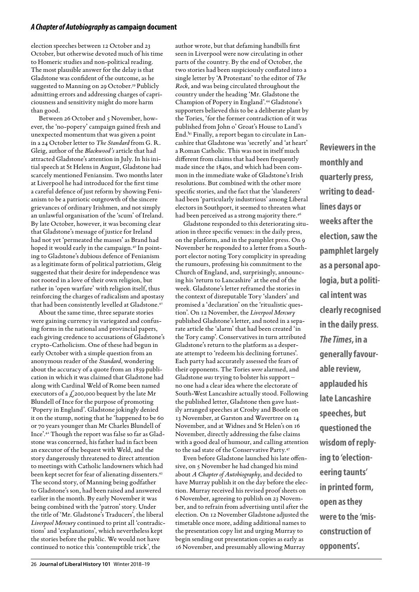election speeches between 12 October and 23 October, but otherwise devoted much of his time to Homeric studies and non-political reading. The most plausible answer for the delay is that Gladstone was confident of the outcome, as he suggested to Manning on 29 October.<sup>39</sup> Publicly admitting errors and addressing charges of capriciousness and sensitivity might do more harm than good.

Between 26 October and 5 November, however, the 'no-popery' campaign gained fresh and unexpected momentum that was given a point in a 24 October letter to *The Standard* from G. R. Gleig, author of the *Blackwood's* article that had attracted Gladstone's attention in July. In his initial speech at St Helens in August, Gladstone had scarcely mentioned Feniansim. Two months later at Liverpool he had introduced for the first time a careful defence of just reform by showing Fenianism to be a patriotic outgrowth of the sincere grievances of ordinary Irishmen, and not simply an unlawful organisation of the 'scum' of Ireland. By late October, however, it was becoming clear that Gladstone's message of justice for Ireland had not yet 'permeated the masses' as Brand had hoped it would early in the campaign.<sup>40</sup> In pointing to Gladstone's dubious defence of Fenianism as a legitimate form of political patriotism, Gleig suggested that their desire for independence was not rooted in a love of their own religion, but rather in 'open warfare' with religion itself, thus reinforcing the charges of radicalism and apostasy that had been consistently levelled at Gladstone.<sup>41</sup>

About the same time, three separate stories were gaining currency in variegated and confusing forms in the national and provincial papers, each giving credence to accusations of Gladstone's crypto-Catholicism. One of these had begun in early October with a simple question from an anonymous reader of the *Standard*, wondering about the accuracy of a quote from an 1859 publication in which it was claimed that Gladstone had along with Cardinal Weld of Rome been named executors of a  $\mathcal{L}$ 200,000 bequest by the late Mr Blundell of Ince for the purpose of promoting 'Popery in England'. Gladstone jokingly denied it on the stump, noting that he 'happened to be 60 or 70 years younger than Mr Charles Blundell of Ince'.42 Though the report was false so far as Gladstone was concerned, his father had in fact been an executor of the bequest with Weld, and the story dangerously threatened to direct attention to meetings with Catholic landowners which had been kept secret for fear of alienating dissenters.<sup>43</sup> The second story, of Manning being godfather to Gladstone's son, had been raised and answered earlier in the month. By early November it was being combined with the 'patron' story. Under the title of 'Mr. Gladstone's Traducers', the liberal *Liverpool Mercury* continued to print all 'contradictions' and 'explanations', which nevertheless kept the stories before the public. We would not have continued to notice this 'contemptible trick', the

author wrote, but that defaming handbills first seen in Liverpool were now circulating in other parts of the country. By the end of October, the two stories had been suspiciously conflated into a single letter by 'A Protestant' to the editor of *The Rock*, and was being circulated throughout the country under the heading 'Mr. Gladstone the Champion of Popery in England'.44 Gladstone's supporters believed this to be a deliberate plant by the Tories, 'for the former contradiction of it was published from John o' Groat's House to Land's End.'45 Finally, a report began to circulate in Lancashire that Gladstone was 'secretly' and 'at heart' a Roman Catholic. This was not in itself much different from claims that had been frequently made since the 1840s, and which had been common in the immediate wake of Gladstone's Irish resolutions. But combined with the other more specific stories, and the fact that the 'slanderers' had been 'particularly industrious' among Liberal electors in Southport, it seemed to threaten what had been perceived as a strong majority there.<sup>46</sup>

Gladstone responded to this deteriorating situation in three specific venues: in the daily press, on the platform, and in the pamphlet press. On 9 November he responded to a letter from a Southport elector noting Tory complicity in spreading the rumours, professing his commitment to the Church of England, and, surprisingly, announcing his 'return to Lancashire' at the end of the week. Gladstone's letter reframed the stories in the context of disreputable Tory 'slanders' and promised a 'declaration' on the 'ritualistic question'. On 12 November, the *Liverpool Mercury* published Gladstone's letter, and noted in a separate article the 'alarm' that had been created 'in the Tory camp'. Conservatives in turn attributed Gladstone's return to the platform as a desperate attempt to 'redeem his declining fortunes'. Each party had accurately assessed the fears of their opponents. The Tories *were* alarmed, and Gladstone *was* trying to bolster his support – no one had a clear idea where the electorate of South-West Lancashire actually stood. Following the published letter, Gladstone then gave hastily arranged speeches at Crosby and Bootle on 13 November, at Garston and Wavertree on 14 November, and at Widnes and St Helen's on 16 November, directly addressing the false claims with a good deal of humour, and calling attention to the sad state of the Conservative Party.47

Even before Gladstone launched his late offensive, on 5 November he had changed his mind about *A Chapter of Autobiography*, and decided to have Murray publish it on the day before the election. Murray received his revised proof sheets on 6 November, agreeing to publish on 23 November, and to refrain from advertising until after the election. On 12 November Gladstone adjusted the timetable once more, adding additional names to the presentation copy list and urging Murray to begin sending out presentation copies as early as 16 November, and presumably allowing Murray

**Reviewers in the monthly and quarterly press, writing to deadlines days or weeks after the election, saw the pamphlet largely as a personal apologia, but a political intent was clearly recognised in the daily press***. The Times***, in a generally favourable review, applauded his late Lancashire speeches, but questioned the wisdom of replying to 'electioneering taunts' in printed form, open as they were to the 'misconstruction of opponents'.**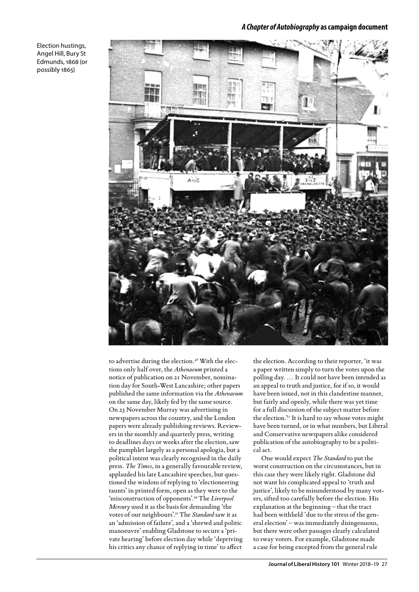Election hustings, Angel Hill, Bury St Edmunds, 1868 (or possibly 1865)



to advertise during the election.<sup>48</sup> With the elections only half over, the *Athenaeum* printed a notice of publication on 21 November, nomination day for South-West Lancashire; other papers published the same information via the *Athenaeum* on the same day, likely fed by the same source. On 23 November Murray was advertising in newspapers across the country, and the London papers were already publishing reviews. Reviewers in the monthly and quarterly press, writing to deadlines days or weeks after the election, saw the pamphlet largely as a personal apologia, but a political intent was clearly recognised in the daily press*. The Times*, in a generally favourable review, applauded his late Lancashire speeches, but questioned the wisdom of replying to 'electioneering taunts' in printed form, open as they were to the 'misconstruction of opponents'.49 The *Liverpool Mercury* used it as the basis for demanding 'the votes of our neighbours'.50 The *Standard* saw it as an 'admission of failure', and a 'shrewd and politic manoeuvre' enabling Gladstone to secure a 'private hearing' before election day while 'depriving his critics any chance of replying in time' to affect

the election. According to their reporter, 'it was a paper written simply to turn the votes upon the polling day. … It could not have been intended as an appeal to truth and justice, for if so, it would have been issued, not in this clandestine manner, but fairly and openly, while there was yet time for a full discussion of the subject matter before the election.'51 It is hard to say whose votes might have been turned, or in what numbers, but Liberal and Conservative newspapers alike considered publication of the autobiography to be a political act.

One would expect *The Standard* to put the worst construction on the circumstances, but in this case they were likely right. Gladstone did not want his complicated appeal to 'truth and justice', likely to be misunderstood by many voters, sifted too carefully before the election. His explanation at the beginning – that the tract had been withheld 'due to the stress of the general election' – was immediately disingenuous, but there were other passages clearly calculated to sway voters. For example, Gladstone made a case for being excepted from the general rule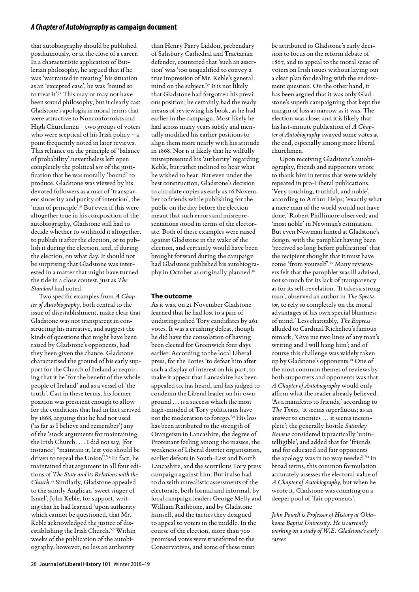that autobiography should be published posthumously, or at the close of a career. In a characteristic application of Butlerian philosophy, he argued that if he was 'warranted in treating' his situation as an 'excepted case', he was 'bound so to treat it'.<sup>52</sup> This may or may not have been sound philosophy, but it clearly cast Gladstone's apologia in moral terms that were attractive to Nonconformists and High Churchmen – two groups of voters who were sceptical of his Irish policy –  ${\bf a}$ point frequently noted in later reviews. This reliance on the principle of 'balance of probability' nevertheless left open completely the political *use* of the justification that he was morally 'bound' to produce. Gladstone was viewed by his devoted followers as a man of 'transparent sincerity and purity of intention', the 'man of principle'.<sup>53</sup> But even if this were altogether true in his composition of the autobiography, Gladstone still had to decide whether to withhold it altogether, to publish it after the election, or to publish it during the election, and, if during the election, on what day. It should not be surprising that Gladstone was interested in a matter that might have turned the tide in a close contest, just as *The Standard* had noted.

Two specific examples from *A Chapter of Autobiography*, both central to the issue of disestablishment, make clear that Gladstone was not transparent in constructing his narrative, and suggest the kinds of questions that might have been raised by Gladstone's opponents, had they been given the chance. Gladstone characterised the ground of his early support for the Church of Ireland as requiring that it be 'for the benefit of the whole people of Ireland' and as a vessel of 'the truth'. Cast in these terms, his former position was prescient enough to allow for the conditions that had in fact arrived by 1868, arguing that he had not used ('as far as I believe and remember') any of the 'stock arguments for maintaining the Irish Church. … I did not say, [for instance] "maintain it, lest you should be driven to repeal the Union".'54 In fact, he maintained that argument in all four editions of *The State and its Relations with the Church.*55 Similarly, Gladstone appealed to the saintly Anglican 'sweet singer of Israel', John Keble, for support, writing that he had learned 'upon authority which cannot be questioned, that Mr. Keble acknowledged the justice of disestablishing the Irish Church.'56 Within weeks of the publication of the autobiography, however, no less an authority

than Henry Parry Liddon, prebendary of Salisbury Cathedral and Tractarian defender, countered that 'such an assertion' was 'too unqualified to convey a true impression of Mr. Keble's general mind on the subject.'57 It is not likely that Gladstone had forgotten his previous position; he certainly had the ready means of reviewing his book, as he had earlier in the campaign. Most likely he had across many years subtly and mentally modified his earlier positions to align them more nearly with his attitude in 1868. Nor is it likely that he wilfully misrepresented his 'authority' regarding Keble, but rather inclined to hear what he wished to hear. But even under the best construction, Gladstone's decision to circulate copies as early as 16 November to friends while publishing for the public on the day before the election meant that such errors and misrepresentations stood in terms of the electorate. Both of these examples were raised against Gladstone in the wake of the election, and certainly would have been brought forward during the campaign had Gladstone published his autobiography in October as originally planned.<sup>58</sup>

#### **The outcome**

As it was, on 21 November Gladstone learned that he had lost to a pair of undistinguished Tory candidates by 261 votes. It was a crushing defeat, though he did have the consolation of having been elected for Greenwich four days earlier. According to the local Liberal press, for the Tories 'to defeat him after such a display of interest on his part; to make it appear that Lancashire has been appealed to, has heard, and has judged to condemn the Liberal leader on his own ground … is a success which the most high-minded of Tory politicians have not the moderation to forego.'59 His loss has been attributed to the strength of Orangeism in Lancashire, the degree of Protestant feeling among the masses, the weakness of Liberal district organisation, earlier defeats in South-East and North Lancashire, and the scurrilous Tory press campaign against him. But it also had to do with unrealistic assessments of the electorate, both formal and informal, by local campaign leaders George Melly and William Rathbone, and by Gladstone himself, and the tactics they designed to appeal to voters in the middle. In the course of the election, more than 700 promised votes were transferred to the Conservatives, and some of these must

be attributed to Gladstone's early decision to focus on the reform debate of 1867, and to appeal to the moral sense of voters on Irish issues without laying out a clear plan for dealing with the endowment question. On the other hand, it has been argued that it was only Gladstone's superb campaigning that kept the margin of loss as narrow as it was. The election was close, and it is likely that his last-minute publication of *A Chapter of Autobiography* swayed some votes at the end, especially among more liberal churchmen.

Upon receiving Gladstone's autobiography, friends and supporters wrote to thank him in terms that were widely repeated in pro-Liberal publications. 'Very touching, truthful, and noble', according to Arthur Helps; 'exactly what a mere man of the world would not have done,' Robert Phillimore observed; and 'most noble' in Newman's estimation. But even Newman hinted at Gladstone's design, with the pamphlet having been 'received so long before publication' that the recipient thought that it must have come 'from yourself'.<sup>60</sup> Many reviewers felt that the pamphlet was ill advised, not so much for its lack of transparency as for its self-revelation. 'It takes a strong man', observed an author in *The Spectator*, to rely so completely on the moral advantages of his own special bluntness of mind.' Less charitably, *The Express* alluded to Cardinal Richelieu's famous remark, 'Give me two lines of any man's writing and I will hang him'; and of course this challenge was widely taken up by Gladstone's opponents.<sup>61</sup> One of the most common themes of reviews by both supporters and opponents was that *A Chapter of Autobiography* would only affirm what the reader already believed. 'As a manifesto to friends,' according to *The Times*, 'it seems superfluous; as an answer to enemies … it seems incomplete'; the generally hostile *Saturday Review* considered it practically 'unintelligible', and added that for 'friends and for educated and fair opponents the apology was in no way needed.'62 In broad terms, this common formulation accurately assesses the electoral value of *A Chapter of Autobiography*, but when he wrote it, Gladstone was counting on a deeper pool of 'fair opponents'.

*John Powell is Professor of History at Oklahoma Baptist University. He is currently working on a study of W.E. Gladstone's early career.*